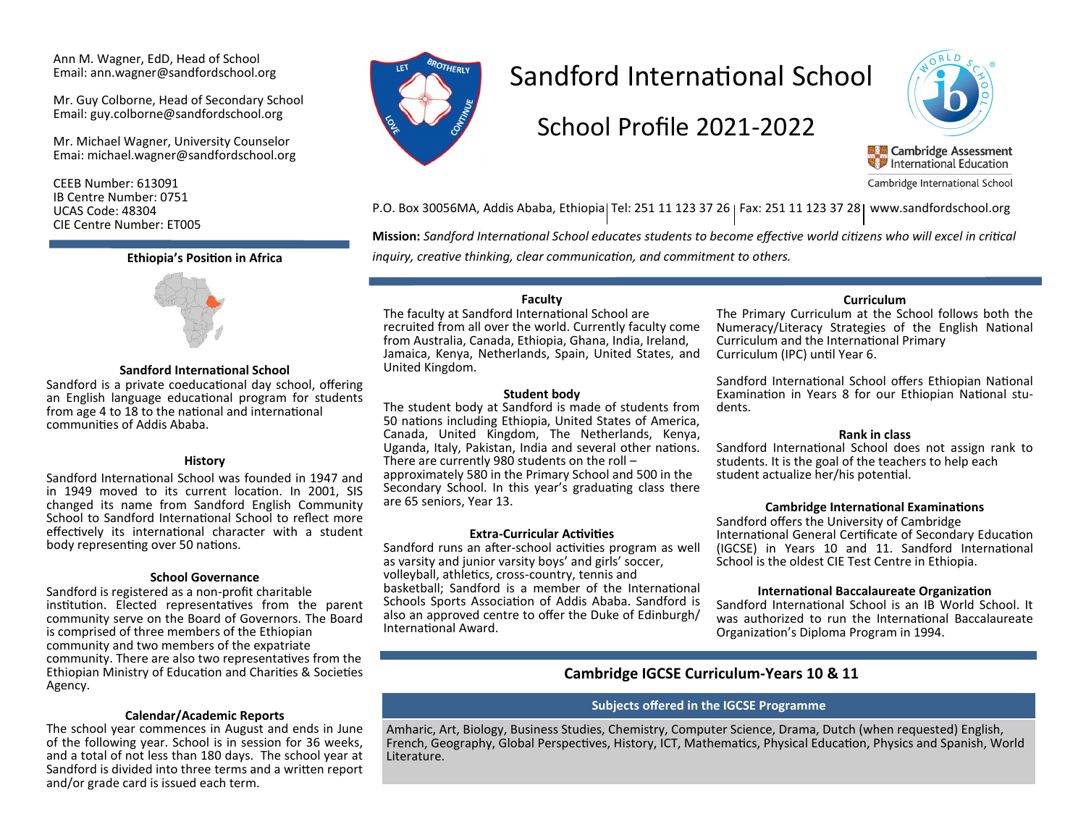Ann M. Wagner, EdD, Head of School Email: ann.wagner@sandfordschool.org

Mr. Guy Colborne, Head of Secondary School Email: guy.colborne@sandfordschool.org

Mr. Michael Wagner, University Counselor Emai: michael.wagner@sandfordschool.org

CEEB Number: 613091 IB Centre Number: 0751 UCAS Code: 48304 CIE Centre Number: ET005



#### **Sandford International School**

Sandford is a private coeducational day school, offering an English language educational program for students from age 4 to 18 to the national and international communities of Addis Ababa.

#### **History**

Sandford International School was founded in 1947 and in 1949 moved to its current location. In 2001, SIS changed its name from Sandford English Community School to Sandford International School to reflect more effectively its international character with a student body representing over 50 nations.

#### **School Governance**

Sandford is registered as a non-profit charitable institution. Elected representatives from the parent community serve on the Board of Governors. The Board is comprised of three members of the Ethiopian community and two members of the expatriate community. There are also two representatives from the Ethiopian Ministry of Education and Charities & Societies Agency.

#### **Calendar/Academic Reports**

The school year commences in August and ends in June of the following year. School is in session for 36 weeks, and a total of not less than 180 days. The school year at Sandford is divided into three terms and a written report and/or grade card is issued each term.



# Sandford International School

# School Profile 2021-2022



Cambridge International School

P.O. Box 30056MA, Addis Ababa, Ethiopia Tel: 251 11 123 37 26 | Fax: 251 11 123 37 28 | www.sandfordschool.org

**Mission:** *Sandford International School educates students to become effective world citizens who will excel in critical* 

**Ethiopia's Position in Africa** *inquiry, creative thinking, clear communication, and commitment to others.*

### **Faculty**

The faculty at Sandford International School are recruited from all over the world. Currently faculty come from Australia, Canada, Ethiopia, Ghana, India, Ireland, Jamaica, Kenya, Netherlands, Spain, United States, and United Kingdom.

#### **Student body**

The student body at Sandford is made of students from 50 nations including Ethiopia, United States of America, Canada, United Kingdom, The Netherlands, Kenya, Uganda, Italy, Pakistan, India and several other nations. There are currently 980 students on the roll – approximately 580 in the Primary School and 500 in the Secondary School. In this year's graduating class there are 65 seniors, Year 13.

#### **Extra-Curricular Activities**

Sandford runs an after-school activities program as well as varsity and junior varsity boys' and girls' soccer, volleyball, athletics, cross-country, tennis and basketball; Sandford is a member of the International Schools Sports Association of Addis Ababa. Sandford is also an approved centre to offer the Duke of Edinburgh/ International Award.

#### **Curriculum**

The Primary Curriculum at the School follows both the Numeracy/Literacy Strategies of the English National Curriculum and the International Primary Curriculum (IPC) until Year 6.

Sandford International School offers Ethiopian National Examination in Years 8 for our Ethiopian National students.

#### **Rank in class**

Sandford International School does not assign rank to students. It is the goal of the teachers to help each student actualize her/his potential.

#### **Cambridge International Examinations**

Sandford offers the University of Cambridge International General Certificate of Secondary Education (IGCSE) in Years 10 and 11. Sandford International School is the oldest CIE Test Centre in Ethiopia.

#### **International Baccalaureate Organization**

Sandford International School is an IB World School. It was authorized to run the International Baccalaureate Organization's Diploma Program in 1994.

## **Cambridge IGCSE Curriculum-Years 10 & 11**

#### **Subjects offered in the IGCSE Programme**

Amharic, Art, Biology, Business Studies, Chemistry, Computer Science, Drama, Dutch (when requested) English, French, Geography, Global Perspectives, History, ICT, Mathematics, Physical Education, Physics and Spanish, World Literature.